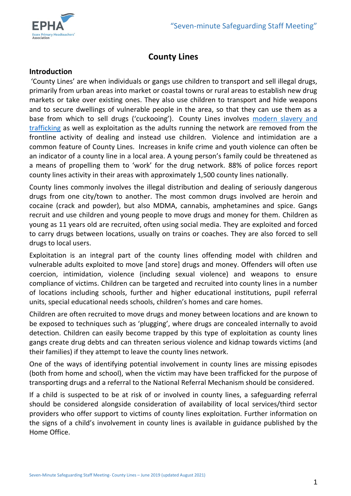

# **County Lines**

## **Introduction**

'County Lines' are when individuals or gangs use children to transport and sell illegal drugs, primarily from urban areas into market or coastal towns or rural areas to establish new drug markets or take over existing ones. They also use children to transport and hide weapons and to secure dwellings of vulnerable people in the area, so that they can use them as a base from which to sell drugs ('cuckooing'). County Lines involves modern slavery and [trafficking](https://www.escb.co.uk/working-with-children/child-exploitation/modern-slavery-and-trafficking/) as well as exploitation as the adults running the network are removed from the frontline activity of dealing and instead use children. Violence and intimidation are a common feature of County Lines. Increases in knife crime and youth violence can often be an indicator of a county line in a local area. A young person's family could be threatened as a means of propelling them to 'work' for the drug network. 88% of police forces report county lines activity in their areas with approximately 1,500 county lines nationally.

County lines commonly involves the illegal distribution and dealing of seriously dangerous drugs from one city/town to another. The most common drugs involved are heroin and cocaine (crack and powder), but also MDMA, cannabis, amphetamines and spice. Gangs recruit and use children and young people to move drugs and money for them. Children as young as 11 years old are recruited, often using social media. They are exploited and forced to carry drugs between locations, usually on trains or coaches. They are also forced to sell drugs to local users.

Exploitation is an integral part of the county lines offending model with children and vulnerable adults exploited to move [and store] drugs and money. Offenders will often use coercion, intimidation, violence (including sexual violence) and weapons to ensure compliance of victims. Children can be targeted and recruited into county lines in a number of locations including schools, further and higher educational institutions, pupil referral units, special educational needs schools, children's homes and care homes.

Children are often recruited to move drugs and money between locations and are known to be exposed to techniques such as 'plugging', where drugs are concealed internally to avoid detection. Children can easily become trapped by this type of exploitation as county lines gangs create drug debts and can threaten serious violence and kidnap towards victims (and their families) if they attempt to leave the county lines network.

One of the ways of identifying potential involvement in county lines are missing episodes (both from home and school), when the victim may have been trafficked for the purpose of transporting drugs and a referral to the National Referral Mechanism should be considered.

If a child is suspected to be at risk of or involved in county lines, a safeguarding referral should be considered alongside consideration of availability of local services/third sector providers who offer support to victims of county lines exploitation. Further information on the signs of a child's involvement in county lines is available in guidance published by the Home Office.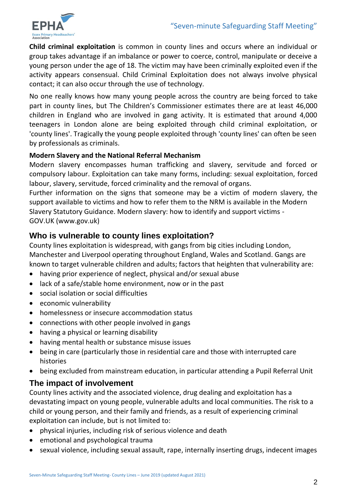

**Child criminal exploitation** is common in county lines and occurs where an individual or group takes advantage if an imbalance or power to coerce, control, manipulate or deceive a young person under the age of 18. The victim may have been criminally exploited even if the activity appears consensual. Child Criminal Exploitation does not always involve physical contact; it can also occur through the use of technology.

No one really knows how many young people across the country are being forced to take part in county lines, but The Children's Commissioner estimates there are at least 46,000 children in England who are involved in gang activity. It is estimated that around 4,000 teenagers in London alone are being exploited through child criminal exploitation, or 'county lines'. Tragically the young people exploited through 'county lines' can often be seen by professionals as criminals.

## **Modern Slavery and the National Referral Mechanism**

Modern slavery encompasses human trafficking and slavery, servitude and forced or compulsory labour. Exploitation can take many forms, including: sexual exploitation, forced labour, slavery, servitude, forced criminality and the removal of organs.

Further information on the signs that someone may be a victim of modern slavery, the support available to victims and how to refer them to the NRM is available in the Modern Slavery Statutory Guidance. Modern slavery: how to identify and support victims - GOV.UK (www.gov.uk)

# **Who is vulnerable to county lines exploitation?**

County lines exploitation is widespread, with gangs from big cities including London, Manchester and Liverpool operating throughout England, Wales and Scotland. Gangs are known to target vulnerable children and adults; factors that heighten that vulnerability are:

- having prior experience of neglect, physical and/or sexual abuse
- lack of a safe/stable home environment, now or in the past
- social isolation or social difficulties
- economic vulnerability
- homelessness or insecure accommodation status
- connections with other people involved in gangs
- having a physical or learning disability
- having mental health or substance misuse issues
- being in care (particularly those in residential care and those with interrupted care histories
- being excluded from mainstream education, in particular attending a Pupil Referral Unit

# **The impact of involvement**

County lines activity and the associated violence, drug dealing and exploitation has a devastating impact on young people, vulnerable adults and local communities. The risk to a child or young person, and their family and friends, as a result of experiencing criminal exploitation can include, but is not limited to:

- physical injuries, including risk of serious violence and death
- emotional and psychological trauma
- sexual violence, including sexual assault, rape, internally inserting drugs, indecent images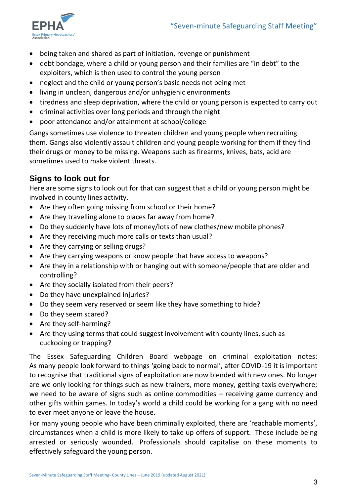

- being taken and shared as part of initiation, revenge or punishment
- debt bondage, where a child or young person and their families are "in debt" to the exploiters, which is then used to control the young person
- neglect and the child or young person's basic needs not being met
- living in unclean, dangerous and/or unhygienic environments
- tiredness and sleep deprivation, where the child or young person is expected to carry out
- criminal activities over long periods and through the night
- poor attendance and/or attainment at school/college

Gangs sometimes use violence to threaten children and young people when recruiting them. Gangs also violently assault children and young people working for them if they find their drugs or money to be missing. Weapons such as firearms, knives, bats, acid are sometimes used to make violent threats.

# **Signs to look out for**

Here are some signs to look out for that can suggest that a child or young person might be involved in county lines activity.

- Are they often going missing from school or their home?
- Are they travelling alone to places far away from home?
- Do they suddenly have lots of money/lots of new clothes/new mobile phones?
- Are they receiving much more calls or texts than usual?
- Are they carrying or selling drugs?
- Are they carrying weapons or know people that have access to weapons?
- Are they in a relationship with or hanging out with someone/people that are older and controlling?
- Are they socially isolated from their peers?
- Do they have unexplained injuries?
- Do they seem very reserved or seem like they have something to hide?
- Do they seem scared?
- Are they self-harming?
- Are they using terms that could suggest involvement with county lines, such as cuckooing or trapping?

The Essex Safeguarding Children Board webpage on criminal exploitation notes: As many people look forward to things 'going back to normal', after COVID-19 it is important to recognise that traditional signs of exploitation are now blended with new ones. No longer are we only looking for things such as new trainers, more money, getting taxis everywhere; we need to be aware of signs such as online commodities – receiving game currency and other gifts within games. In today's world a child could be working for a gang with no need to ever meet anyone or leave the house.

For many young people who have been criminally exploited, there are 'reachable moments', circumstances when a child is more likely to take up offers of support. These include being arrested or seriously wounded. Professionals should capitalise on these moments to effectively safeguard the young person.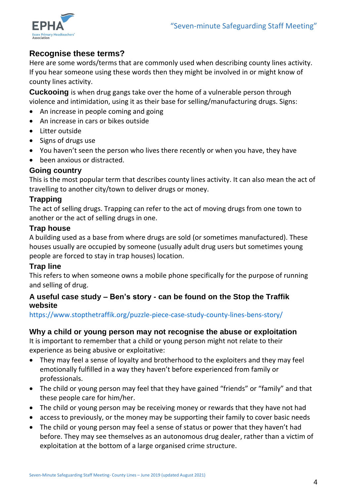

# **Recognise these terms?**

Here are some words/terms that are commonly used when describing county lines activity. If you hear someone using these words then they might be involved in or might know of county lines activity.

**Cuckooing** is when drug gangs take over the home of a vulnerable person through violence and intimidation, using it as their base for selling/manufacturing drugs. Signs:

- An increase in people coming and going
- An increase in cars or bikes outside
- Litter outside
- Signs of drugs use
- You haven't seen the person who lives there recently or when you have, they have
- been anxious or distracted.

## **Going country**

This is the most popular term that describes county lines activity. It can also mean the act of travelling to another city/town to deliver drugs or money.

# **Trapping**

The act of selling drugs. Trapping can refer to the act of moving drugs from one town to another or the act of selling drugs in one.

## **Trap house**

A building used as a base from where drugs are sold (or sometimes manufactured). These houses usually are occupied by someone (usually adult drug users but sometimes young people are forced to stay in trap houses) location.

## **Trap line**

This refers to when someone owns a mobile phone specifically for the purpose of running and selling of drug.

## **A useful case study – Ben's story - can be found on the Stop the Traffik website**

https://www.stopthetraffik.org/puzzle-piece-case-study-county-lines-bens-story/

## **Why a child or young person may not recognise the abuse or exploitation**

It is important to remember that a child or young person might not relate to their experience as being abusive or exploitative:

- They may feel a sense of loyalty and brotherhood to the exploiters and they may feel emotionally fulfilled in a way they haven't before experienced from family or professionals.
- The child or young person may feel that they have gained "friends" or "family" and that these people care for him/her.
- The child or young person may be receiving money or rewards that they have not had
- access to previously, or the money may be supporting their family to cover basic needs
- The child or young person may feel a sense of status or power that they haven't had before. They may see themselves as an autonomous drug dealer, rather than a victim of exploitation at the bottom of a large organised crime structure.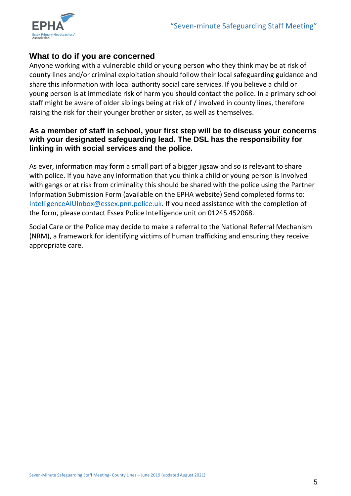

# **What to do if you are concerned**

Anyone working with a vulnerable child or young person who they think may be at risk of county lines and/or criminal exploitation should follow their local safeguarding guidance and share this information with local authority social care services. If you believe a child or young person is at immediate risk of harm you should contact the police. In a primary school staff might be aware of older siblings being at risk of / involved in county lines, therefore raising the risk for their younger brother or sister, as well as themselves.

## **As a member of staff in school, your first step will be to discuss your concerns with your designated safeguarding lead. The DSL has the responsibility for linking in with social services and the police.**

As ever, information may form a small part of a bigger jigsaw and so is relevant to share with police. If you have any information that you think a child or young person is involved with gangs or at risk from criminality this should be shared with the police using the Partner Information Submission Form (available on the EPHA website) Send completed forms to: [IntelligenceAIUInbox@essex.pnn.police.uk.](mailto:IntelligenceAIUInbox@essex.pnn.police.uk) If you need assistance with the completion of the form, please contact Essex Police Intelligence unit on 01245 452068.

Social Care or the Police may decide to make a referral to the National Referral Mechanism (NRM), a framework for identifying victims of human trafficking and ensuring they receive appropriate care.